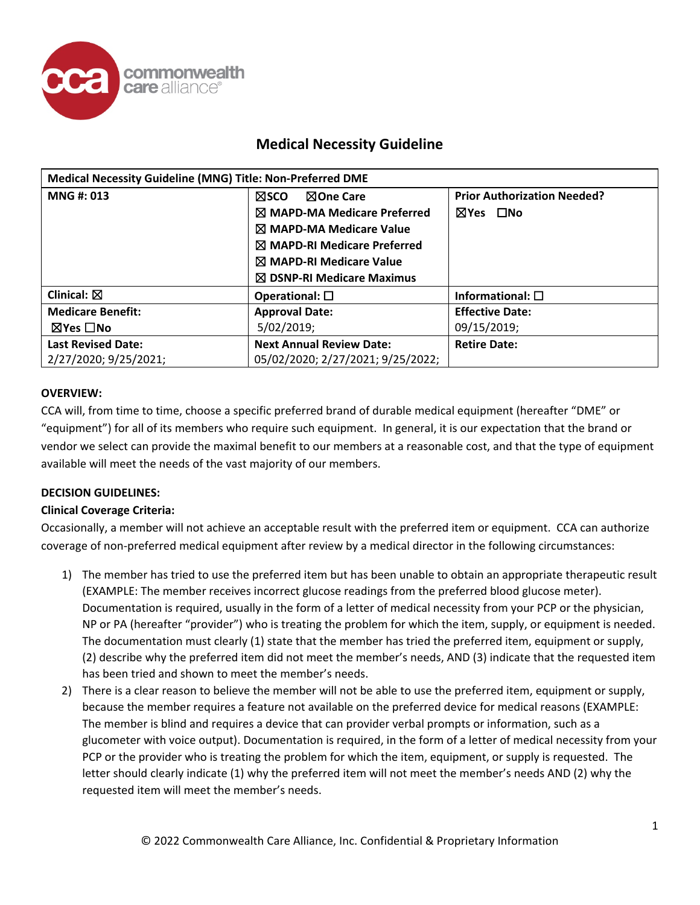

# **Medical Necessity Guideline**

| Medical Necessity Guideline (MNG) Title: Non-Preferred DME |                                        |                                    |  |  |
|------------------------------------------------------------|----------------------------------------|------------------------------------|--|--|
| MNG #: 013                                                 | <b>NOne Care</b><br><b>NSCO</b>        | <b>Prior Authorization Needed?</b> |  |  |
|                                                            | $\boxtimes$ MAPD-MA Medicare Preferred | ⊠Yes □No                           |  |  |
|                                                            | $\boxtimes$ MAPD-MA Medicare Value     |                                    |  |  |
|                                                            | $\boxtimes$ MAPD-RI Medicare Preferred |                                    |  |  |
|                                                            | $\boxtimes$ MAPD-RI Medicare Value     |                                    |  |  |
|                                                            | $\boxtimes$ DSNP-RI Medicare Maximus   |                                    |  |  |
| Clinical: $\boxtimes$                                      | Operational: $\square$                 | Informational: $\square$           |  |  |
| <b>Medicare Benefit:</b>                                   | <b>Approval Date:</b>                  | <b>Effective Date:</b>             |  |  |
| ⊠Yes □No                                                   | 5/02/2019;                             | 09/15/2019;                        |  |  |
| <b>Last Revised Date:</b>                                  | <b>Next Annual Review Date:</b>        | <b>Retire Date:</b>                |  |  |
| 2/27/2020; 9/25/2021;                                      | 05/02/2020; 2/27/2021; 9/25/2022;      |                                    |  |  |

## **OVERVIEW:**

CCA will, from time to time, choose a specific preferred brand of durable medical equipment (hereafter "DME" or "equipment") for all of its members who require such equipment. In general, it is our expectation that the brand or vendor we select can provide the maximal benefit to our members at a reasonable cost, and that the type of equipment available will meet the needs of the vast majority of our members.

## **DECISION GUIDELINES:**

## **Clinical Coverage Criteria:**

Occasionally, a member will not achieve an acceptable result with the preferred item or equipment. CCA can authorize coverage of non-preferred medical equipment after review by a medical director in the following circumstances:

- 1) The member has tried to use the preferred item but has been unable to obtain an appropriate therapeutic result (EXAMPLE: The member receives incorrect glucose readings from the preferred blood glucose meter). Documentation is required, usually in the form of a letter of medical necessity from your PCP or the physician, NP or PA (hereafter "provider") who is treating the problem for which the item, supply, or equipment is needed. The documentation must clearly (1) state that the member has tried the preferred item, equipment or supply, (2) describe why the preferred item did not meet the member's needs, AND (3) indicate that the requested item has been tried and shown to meet the member's needs.
- 2) There is a clear reason to believe the member will not be able to use the preferred item, equipment or supply, because the member requires a feature not available on the preferred device for medical reasons (EXAMPLE: The member is blind and requires a device that can provider verbal prompts or information, such as a glucometer with voice output). Documentation is required, in the form of a letter of medical necessity from your PCP or the provider who is treating the problem for which the item, equipment, or supply is requested. The letter should clearly indicate (1) why the preferred item will not meet the member's needs AND (2) why the requested item will meet the member's needs.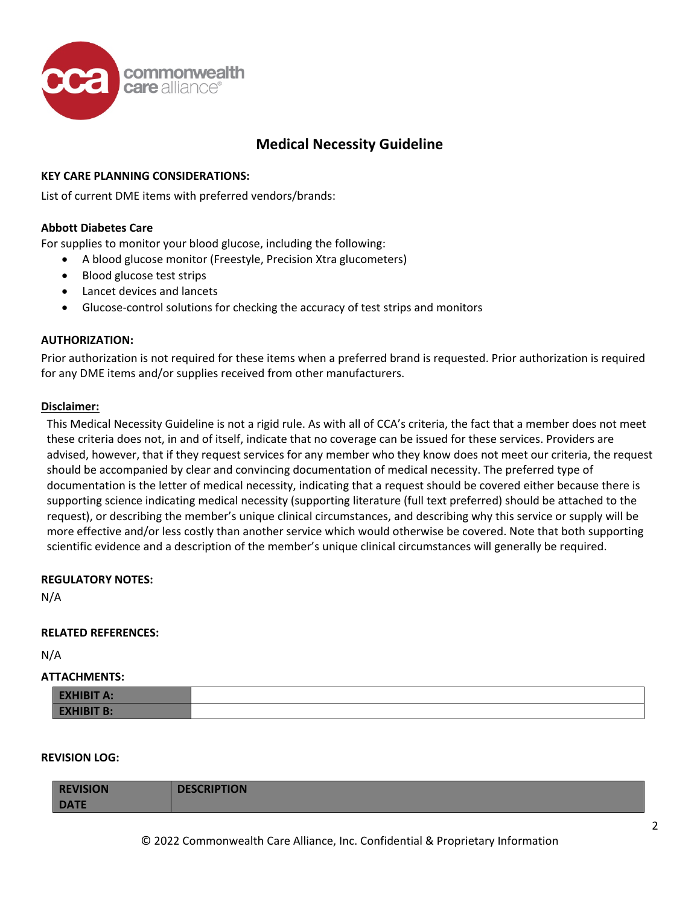

# **Medical Necessity Guideline**

## **KEY CARE PLANNING CONSIDERATIONS:**

List of current DME items with preferred vendors/brands:

### **Abbott Diabetes Care**

For supplies to monitor your blood glucose, including the following:

- A blood glucose monitor (Freestyle, Precision Xtra glucometers)
- Blood glucose test strips
- Lancet devices and lancets
- Glucose-control solutions for checking the accuracy of test strips and monitors

### **AUTHORIZATION:**

Prior authorization is not required for these items when a preferred brand is requested. Prior authorization is required for any DME items and/or supplies received from other manufacturers.

#### **Disclaimer:**

This Medical Necessity Guideline is not a rigid rule. As with all of CCA's criteria, the fact that a member does not meet these criteria does not, in and of itself, indicate that no coverage can be issued for these services. Providers are advised, however, that if they request services for any member who they know does not meet our criteria, the request should be accompanied by clear and convincing documentation of medical necessity. The preferred type of documentation is the letter of medical necessity, indicating that a request should be covered either because there is supporting science indicating medical necessity (supporting literature (full text preferred) should be attached to the request), or describing the member's unique clinical circumstances, and describing why this service or supply will be more effective and/or less costly than another service which would otherwise be covered. Note that both supporting scientific evidence and a description of the member's unique clinical circumstances will generally be required.

#### **REGULATORY NOTES:**

N/A

#### **RELATED REFERENCES:**

N/A

## **ATTACHMENTS:**

| <b>EXHIBIT A:</b> |  |
|-------------------|--|
| <b>EXHIBIT B:</b> |  |

### **REVISION LOG:**

| <b>REVISION</b> | <b>DESCRIPTION</b> |
|-----------------|--------------------|
| <b>DATE</b>     |                    |
|                 |                    |